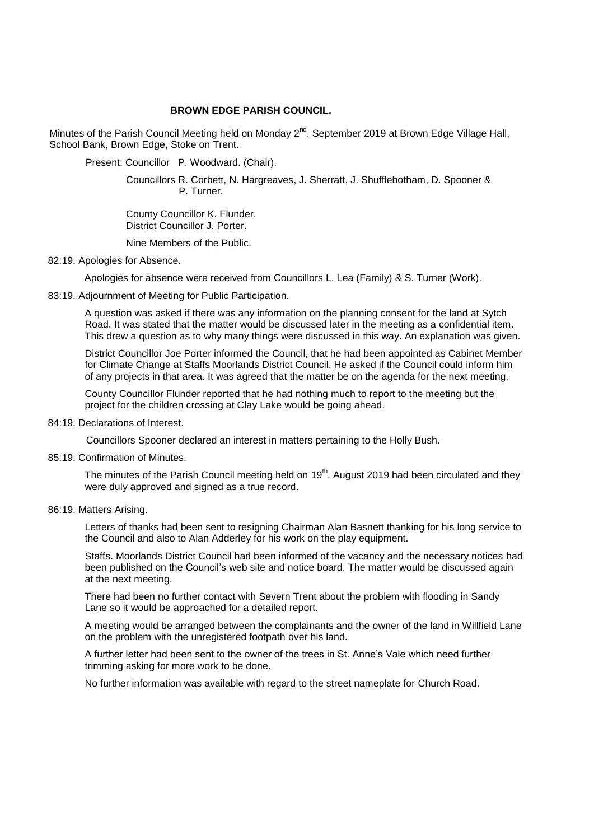## **BROWN EDGE PARISH COUNCIL.**

Minutes of the Parish Council Meeting held on Monday 2<sup>nd</sup>. September 2019 at Brown Edge Village Hall, School Bank, Brown Edge, Stoke on Trent.

Present: Councillor P. Woodward. (Chair).

 Councillors R. Corbett, N. Hargreaves, J. Sherratt, J. Shufflebotham, D. Spooner & P. Turner.

 County Councillor K. Flunder. District Councillor J. Porter.

Nine Members of the Public.

## 82:19. Apologies for Absence.

Apologies for absence were received from Councillors L. Lea (Family) & S. Turner (Work).

83:19. Adjournment of Meeting for Public Participation.

A question was asked if there was any information on the planning consent for the land at Sytch Road. It was stated that the matter would be discussed later in the meeting as a confidential item. This drew a question as to why many things were discussed in this way. An explanation was given.

District Councillor Joe Porter informed the Council, that he had been appointed as Cabinet Member for Climate Change at Staffs Moorlands District Council. He asked if the Council could inform him of any projects in that area. It was agreed that the matter be on the agenda for the next meeting.

County Councillor Flunder reported that he had nothing much to report to the meeting but the project for the children crossing at Clay Lake would be going ahead.

84:19. Declarations of Interest.

Councillors Spooner declared an interest in matters pertaining to the Holly Bush.

85:19. Confirmation of Minutes.

The minutes of the Parish Council meeting held on  $19<sup>th</sup>$ . August 2019 had been circulated and they were duly approved and signed as a true record.

### 86:19. Matters Arising.

Letters of thanks had been sent to resigning Chairman Alan Basnett thanking for his long service to the Council and also to Alan Adderley for his work on the play equipment.

Staffs. Moorlands District Council had been informed of the vacancy and the necessary notices had been published on the Council's web site and notice board. The matter would be discussed again at the next meeting.

There had been no further contact with Severn Trent about the problem with flooding in Sandy Lane so it would be approached for a detailed report.

 A meeting would be arranged between the complainants and the owner of the land in Willfield Lane on the problem with the unregistered footpath over his land.

A further letter had been sent to the owner of the trees in St. Anne's Vale which need further trimming asking for more work to be done.

No further information was available with regard to the street nameplate for Church Road.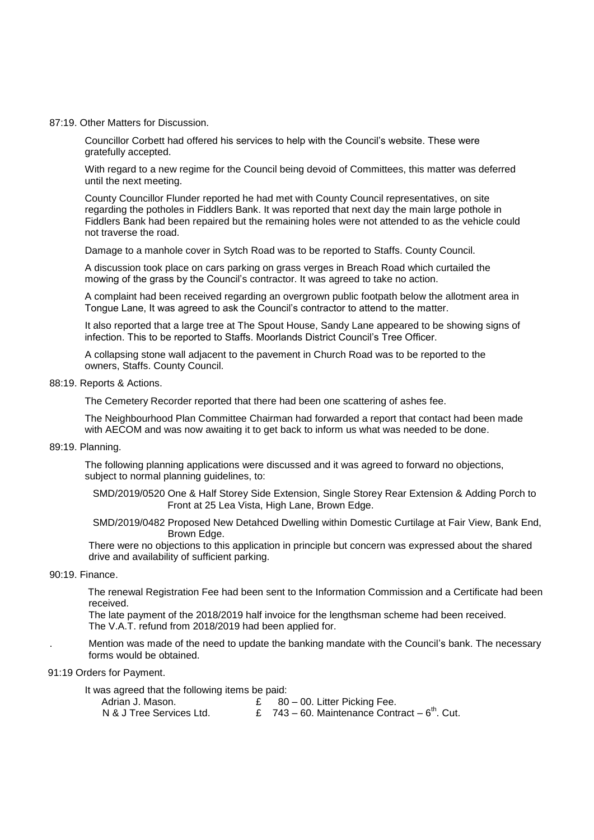#### 87:19. Other Matters for Discussion.

Councillor Corbett had offered his services to help with the Council's website. These were gratefully accepted.

With regard to a new regime for the Council being devoid of Committees, this matter was deferred until the next meeting.

County Councillor Flunder reported he had met with County Council representatives, on site regarding the potholes in Fiddlers Bank. It was reported that next day the main large pothole in Fiddlers Bank had been repaired but the remaining holes were not attended to as the vehicle could not traverse the road.

Damage to a manhole cover in Sytch Road was to be reported to Staffs. County Council.

A discussion took place on cars parking on grass verges in Breach Road which curtailed the mowing of the grass by the Council's contractor. It was agreed to take no action.

A complaint had been received regarding an overgrown public footpath below the allotment area in Tongue Lane, It was agreed to ask the Council's contractor to attend to the matter.

It also reported that a large tree at The Spout House, Sandy Lane appeared to be showing signs of infection. This to be reported to Staffs. Moorlands District Council's Tree Officer.

A collapsing stone wall adjacent to the pavement in Church Road was to be reported to the owners, Staffs. County Council.

#### 88:19. Reports & Actions.

The Cemetery Recorder reported that there had been one scattering of ashes fee.

The Neighbourhood Plan Committee Chairman had forwarded a report that contact had been made with AECOM and was now awaiting it to get back to inform us what was needed to be done.

89:19. Planning.

The following planning applications were discussed and it was agreed to forward no objections, subject to normal planning quidelines, to:

 SMD/2019/0520 One & Half Storey Side Extension, Single Storey Rear Extension & Adding Porch to Front at 25 Lea Vista, High Lane, Brown Edge.

 SMD/2019/0482 Proposed New Detahced Dwelling within Domestic Curtilage at Fair View, Bank End, Brown Edge.

There were no objections to this application in principle but concern was expressed about the shared drive and availability of sufficient parking.

## 90:19. Finance.

 The renewal Registration Fee had been sent to the Information Commission and a Certificate had been received.

The late payment of the 2018/2019 half invoice for the lengthsman scheme had been received. The V.A.T. refund from 2018/2019 had been applied for.

. Mention was made of the need to update the banking mandate with the Council's bank. The necessary forms would be obtained.

# 91:19 Orders for Payment.

It was agreed that the following items be paid:

| Adrian J. Mason.         | $\epsilon$ 80 – 00. Litter Picking Fee.              |
|--------------------------|------------------------------------------------------|
| N & J Tree Services Ltd. | £ $743 - 60$ . Maintenance Contract $-6^{th}$ . Cut. |